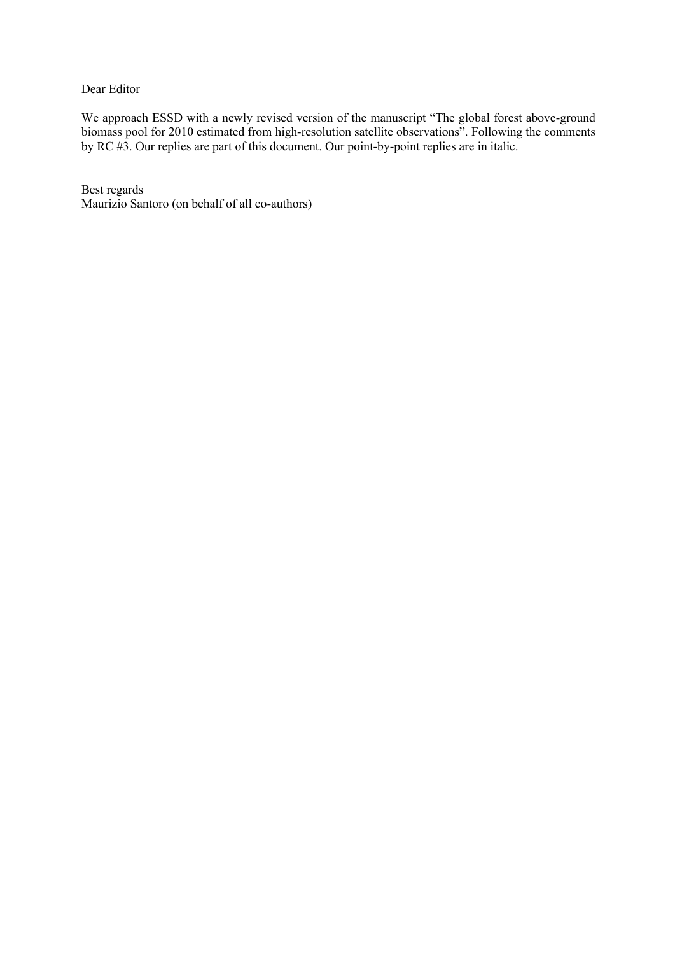## Dear Editor

We approach ESSD with a newly revised version of the manuscript "The global forest above-ground biomass pool for 2010 estimated from high-resolution satellite observations". Following the comments by RC #3. Our replies are part of this document. Our point-by-point replies are in italic.

Best regards Maurizio Santoro (on behalf of all co-authors)